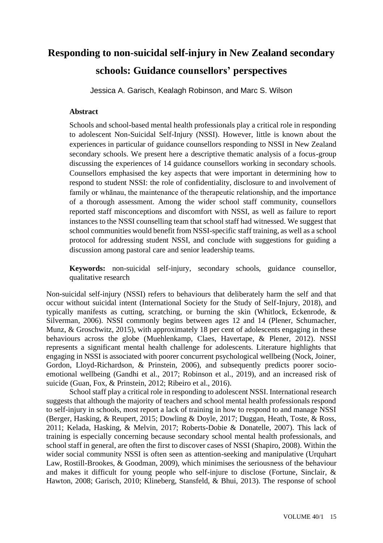# **Responding to non-suicidal self-injury in New Zealand secondary schools: Guidance counsellors' perspectives**

Jessica A. Garisch, Kealagh Robinson, and Marc S. Wilson

## **Abstract**

Schools and school-based mental health professionals play a critical role in responding to adolescent Non-Suicidal Self-Injury (NSSI). However, little is known about the experiences in particular of guidance counsellors responding to NSSI in New Zealand secondary schools. We present here a descriptive thematic analysis of a focus-group discussing the experiences of 14 guidance counsellors working in secondary schools. Counsellors emphasised the key aspects that were important in determining how to respond to student NSSI: the role of confidentiality, disclosure to and involvement of family or whānau, the maintenance of the therapeutic relationship, and the importance of a thorough assessment. Among the wider school staff community, counsellors reported staff misconceptions and discomfort with NSSI, as well as failure to report instances to the NSSI counselling team that school staff had witnessed. We suggest that school communities would benefit from NSSI-specific staff training, as well as a school protocol for addressing student NSSI, and conclude with suggestions for guiding a discussion among pastoral care and senior leadership teams.

**Keywords:** non-suicidal self-injury, secondary schools, guidance counsellor, qualitative research

Non-suicidal self-injury (NSSI) refers to behaviours that deliberately harm the self and that occur without suicidal intent (International Society for the Study of Self-Injury, 2018), and typically manifests as cutting, scratching, or burning the skin (Whitlock, Eckenrode, & Silverman, 2006). NSSI commonly begins between ages 12 and 14 (Plener, Schumacher, Munz, & Groschwitz, 2015), with approximately 18 per cent of adolescents engaging in these behaviours across the globe (Muehlenkamp, Claes, Havertape, & Plener, 2012). NSSI represents a significant mental health challenge for adolescents. Literature highlights that engaging in NSSI is associated with poorer concurrent psychological wellbeing (Nock, Joiner, Gordon, Lloyd-Richardson, & Prinstein, 2006), and subsequently predicts poorer socioemotional wellbeing (Gandhi et al., 2017; Robinson et al., 2019), and an increased risk of suicide (Guan, Fox, & Prinstein, 2012; Ribeiro et al., 2016).

School staff play a critical role in responding to adolescent NSSI. International research suggests that although the majority of teachers and school mental health professionals respond to self-injury in schools, most report a lack of training in how to respond to and manage NSSI (Berger, Hasking, & Reupert, 2015; Dowling & Doyle, 2017; Duggan, Heath, Toste, & Ross, 2011; Kelada, Hasking, & Melvin, 2017; Roberts-Dobie & Donatelle, 2007). This lack of training is especially concerning because secondary school mental health professionals, and school staff in general, are often the first to discover cases of NSSI (Shapiro, 2008). Within the wider social community NSSI is often seen as attention-seeking and manipulative (Urquhart Law, Rostill-Brookes, & Goodman, 2009), which minimises the seriousness of the behaviour and makes it difficult for young people who self-injure to disclose (Fortune, Sinclair, & Hawton, 2008; Garisch, 2010; Klineberg, Stansfeld, & Bhui, 2013). The response of school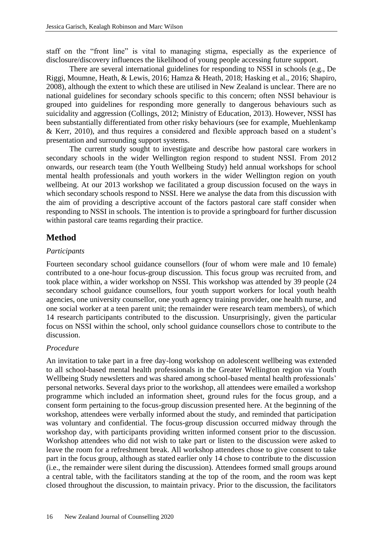staff on the "front line" is vital to managing stigma, especially as the experience of disclosure/discovery influences the likelihood of young people accessing future support.

There are several international guidelines for responding to NSSI in schools (e.g., De Riggi, Moumne, Heath, & Lewis, 2016; Hamza & Heath, 2018; Hasking et al., 2016; Shapiro, 2008), although the extent to which these are utilised in New Zealand is unclear. There are no national guidelines for secondary schools specific to this concern; often NSSI behaviour is grouped into guidelines for responding more generally to dangerous behaviours such as suicidality and aggression (Collings, 2012; Ministry of Education, 2013). However, NSSI has been substantially differentiated from other risky behaviours (see for example, Muehlenkamp & Kerr, 2010), and thus requires a considered and flexible approach based on a student's presentation and surrounding support systems.

The current study sought to investigate and describe how pastoral care workers in secondary schools in the wider Wellington region respond to student NSSI. From 2012 onwards, our research team (the Youth Wellbeing Study) held annual workshops for school mental health professionals and youth workers in the wider Wellington region on youth wellbeing. At our 2013 workshop we facilitated a group discussion focused on the ways in which secondary schools respond to NSSI. Here we analyse the data from this discussion with the aim of providing a descriptive account of the factors pastoral care staff consider when responding to NSSI in schools. The intention is to provide a springboard for further discussion within pastoral care teams regarding their practice.

# **Method**

#### *Participants*

Fourteen secondary school guidance counsellors (four of whom were male and 10 female) contributed to a one-hour focus-group discussion. This focus group was recruited from, and took place within, a wider workshop on NSSI. This workshop was attended by 39 people (24 secondary school guidance counsellors, four youth support workers for local youth health agencies, one university counsellor, one youth agency training provider, one health nurse, and one social worker at a teen parent unit; the remainder were research team members), of which 14 research participants contributed to the discussion. Unsurprisingly, given the particular focus on NSSI within the school, only school guidance counsellors chose to contribute to the discussion.

#### *Procedure*

An invitation to take part in a free day-long workshop on adolescent wellbeing was extended to all school-based mental health professionals in the Greater Wellington region via Youth Wellbeing Study newsletters and was shared among school-based mental health professionals' personal networks. Several days prior to the workshop, all attendees were emailed a workshop programme which included an information sheet, ground rules for the focus group, and a consent form pertaining to the focus-group discussion presented here. At the beginning of the workshop, attendees were verbally informed about the study, and reminded that participation was voluntary and confidential. The focus-group discussion occurred midway through the workshop day, with participants providing written informed consent prior to the discussion. Workshop attendees who did not wish to take part or listen to the discussion were asked to leave the room for a refreshment break. All workshop attendees chose to give consent to take part in the focus group, although as stated earlier only 14 chose to contribute to the discussion (i.e., the remainder were silent during the discussion). Attendees formed small groups around a central table, with the facilitators standing at the top of the room, and the room was kept closed throughout the discussion, to maintain privacy. Prior to the discussion, the facilitators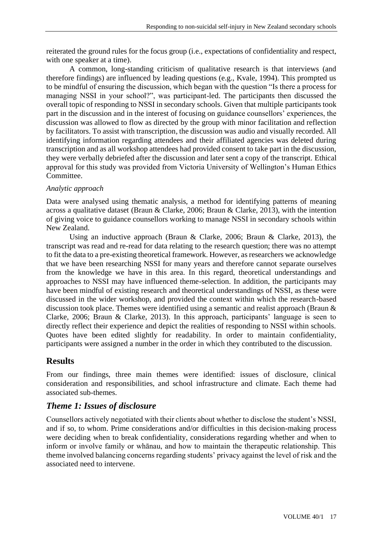reiterated the ground rules for the focus group (i.e., expectations of confidentiality and respect, with one speaker at a time).

A common, long-standing criticism of qualitative research is that interviews (and therefore findings) are influenced by leading questions (e.g., Kvale, 1994). This prompted us to be mindful of ensuring the discussion, which began with the question "Is there a process for managing NSSI in your school?", was participant-led. The participants then discussed the overall topic of responding to NSSI in secondary schools. Given that multiple participants took part in the discussion and in the interest of focusing on guidance counsellors' experiences, the discussion was allowed to flow as directed by the group with minor facilitation and reflection by facilitators. To assist with transcription, the discussion was audio and visually recorded. All identifying information regarding attendees and their affiliated agencies was deleted during transcription and as all workshop attendees had provided consent to take part in the discussion, they were verbally debriefed after the discussion and later sent a copy of the transcript. Ethical approval for this study was provided from Victoria University of Wellington's Human Ethics Committee.

## *Analytic approach*

Data were analysed using thematic analysis, a method for identifying patterns of meaning across a qualitative dataset (Braun & Clarke, 2006; Braun & Clarke, 2013), with the intention of giving voice to guidance counsellors working to manage NSSI in secondary schools within New Zealand.

Using an inductive approach (Braun & Clarke, 2006; Braun & Clarke, 2013), the transcript was read and re-read for data relating to the research question; there was no attempt to fit the data to a pre-existing theoretical framework. However, as researchers we acknowledge that we have been researching NSSI for many years and therefore cannot separate ourselves from the knowledge we have in this area. In this regard, theoretical understandings and approaches to NSSI may have influenced theme-selection. In addition, the participants may have been mindful of existing research and theoretical understandings of NSSI, as these were discussed in the wider workshop, and provided the context within which the research-based discussion took place. Themes were identified using a semantic and realist approach (Braun & Clarke, 2006; Braun & Clarke, 2013). In this approach, participants' language is seen to directly reflect their experience and depict the realities of responding to NSSI within schools. Quotes have been edited slightly for readability. In order to maintain confidentiality, participants were assigned a number in the order in which they contributed to the discussion.

# **Results**

From our findings, three main themes were identified: issues of disclosure, clinical consideration and responsibilities, and school infrastructure and climate. Each theme had associated sub-themes.

# *Theme 1: Issues of disclosure*

Counsellors actively negotiated with their clients about whether to disclose the student's NSSI, and if so, to whom. Prime considerations and/or difficulties in this decision-making process were deciding when to break confidentiality, considerations regarding whether and when to inform or involve family or whānau, and how to maintain the therapeutic relationship. This theme involved balancing concerns regarding students' privacy against the level of risk and the associated need to intervene.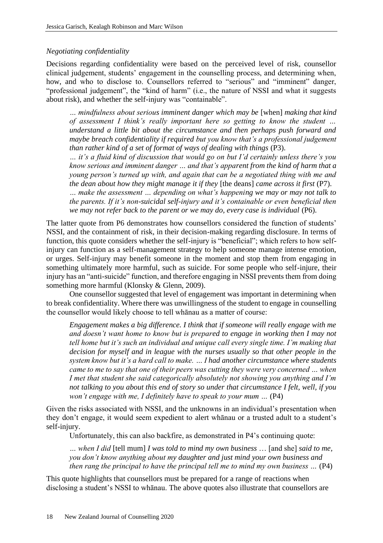#### *Negotiating confidentiality*

Decisions regarding confidentiality were based on the perceived level of risk, counsellor clinical judgement, students' engagement in the counselling process, and determining when, how, and who to disclose to. Counsellors referred to "serious" and "imminent" danger, "professional judgement", the "kind of harm" (i.e., the nature of NSSI and what it suggests about risk), and whether the self-injury was "containable".

*… mindfulness about serious imminent danger which may be* [when] *making that kind of assessment I think's really important here so getting to know the student … understand a little bit about the circumstance and then perhaps push forward and maybe breach confidentiality if required but you know that's a professional judgement than rather kind of a set of format of ways of dealing with things* (P3).

*… it's a fluid kind of discussion that would go on but I'd certainly unless there's you know serious and imminent danger … and that's apparent from the kind of harm that a young person's turned up with, and again that can be a negotiated thing with me and the dean about how they might manage it if they* [the deans] *came across it first* (P7).

*… make the assessment … depending on what's happening we may or may not talk to the parents. If it's non-suicidal self-injury and it's containable or even beneficial then we may not refer back to the parent or we may do, every case is individual* (P6).

The latter quote from P6 demonstrates how counsellors considered the function of students' NSSI, and the containment of risk, in their decision-making regarding disclosure. In terms of function, this quote considers whether the self-injury is "beneficial"; which refers to how selfinjury can function as a self-management strategy to help someone manage intense emotion, or urges. Self-injury may benefit someone in the moment and stop them from engaging in something ultimately more harmful, such as suicide. For some people who self-injure, their injury has an "anti-suicide" function, and therefore engaging in NSSI prevents them from doing something more harmful (Klonsky & Glenn, 2009).

One counsellor suggested that level of engagement was important in determining when to break confidentiality. Where there was unwillingness of the student to engage in counselling the counsellor would likely choose to tell whānau as a matter of course:

*Engagement makes a big difference. I think that if someone will really engage with me and doesn't want home to know but is prepared to engage in working then I may not tell home but it's such an individual and unique call every single time. I'm making that decision for myself and in league with the nurses usually so that other people in the system know but it's a hard call to make. … I had another circumstance where students came to me to say that one of their peers was cutting they were very concerned … when I met that student she said categorically absolutely not showing you anything and I'm not talking to you about this end of story so under that circumstance I felt, well, if you won't engage with me, I definitely have to speak to your mum ...* (P4)

Given the risks associated with NSSI, and the unknowns in an individual's presentation when they don't engage, it would seem expedient to alert whānau or a trusted adult to a student's self-injury.

Unfortunately, this can also backfire, as demonstrated in P4's continuing quote:

*… when I did* [tell mum] *I was told to mind my own business* … [and she] *said to me, you don't know anything about my daughter and just mind your own business and then rang the principal to have the principal tell me to mind my own business …* (P4)

This quote highlights that counsellors must be prepared for a range of reactions when disclosing a student's NSSI to whānau. The above quotes also illustrate that counsellors are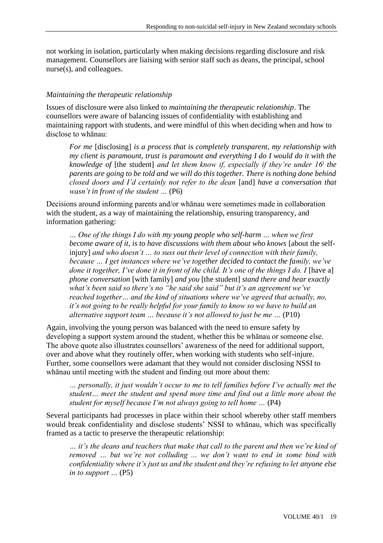not working in isolation, particularly when making decisions regarding disclosure and risk management. Counsellors are liaising with senior staff such as deans, the principal, school nurse(s), and colleagues.

## *Maintaining the therapeutic relationship*

Issues of disclosure were also linked to *maintaining the therapeutic relationship*. The counsellors were aware of balancing issues of confidentiality with establishing and maintaining rapport with students, and were mindful of this when deciding when and how to disclose to whānau:

*For me* [disclosing] *is a process that is completely transparent, my relationship with my client is paramount, trust is paramount and everything I do I would do it with the knowledge of* [the student] *and let them know if, especially if they're under 16<sup>i</sup> the parents are going to be told and we will do this together. There is nothing done behind closed doors and I'd certainly not refer to the dean* [and] *have a conversation that wasn't in front of the student …* (P6)

Decisions around informing parents and/or whānau were sometimes made in collaboration with the student, as a way of maintaining the relationship, ensuring transparency, and information gathering:

*… One of the things I do with my young people who self-harm … when we first become aware of it, is to have discussions with them about who knows* [about the selfinjury] *and who doesn't … to suss out their level of connection with their family, because … I get instances where we've together decided to contact the family, we've done it together, I've done it in front of the child. It's one of the things I do. I* [have a] *phone conversation* [with family] *and you* [the student] *stand there and hear exactly what's been said so there's no "he said she said" but it's an agreement we've reached together… and the kind of situations where we've agreed that actually, no, it's not going to be really helpful for your family to know so we have to build an alternative support team … because it's not allowed to just be me …* (P10)

Again, involving the young person was balanced with the need to ensure safety by developing a support system around the student, whether this be whānau or someone else. The above quote also illustrates counsellors' awareness of the need for additional support, over and above what they routinely offer, when working with students who self-injure. Further, some counsellors were adamant that they would not consider disclosing NSSI to whānau until meeting with the student and finding out more about them:

*… personally, it just wouldn't occur to me to tell families before I've actually met the student… meet the student and spend more time and find out a little more about the student for myself because I'm not always going to tell home …* (P4)

Several participants had processes in place within their school whereby other staff members would break confidentiality and disclose students' NSSI to whānau, which was specifically framed as a tactic to preserve the therapeutic relationship:

*… it's the deans and teachers that make that call to the parent and then we're kind of removed … but we're not colluding ... we don't want to end in some bind with confidentiality where it's just us and the student and they're refusing to let anyone else in to support …* (P5)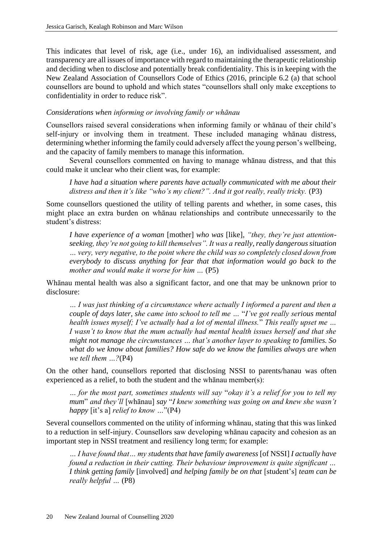This indicates that level of risk, age (i.e., under 16), an individualised assessment, and transparency are all issues of importance with regard to maintaining the therapeutic relationship and deciding when to disclose and potentially break confidentiality. This is in keeping with the New Zealand Association of Counsellors Code of Ethics (2016, principle 6.2 (a) that school counsellors are bound to uphold and which states "counsellors shall only make exceptions to confidentiality in order to reduce risk".

#### *Considerations when informing or involving family or whānau*

Counsellors raised several considerations when informing family or whānau of their child's self-injury or involving them in treatment. These included managing whānau distress, determining whether informing the family could adversely affect the young person's wellbeing, and the capacity of family members to manage this information.

Several counsellors commented on having to manage whānau distress, and that this could make it unclear who their client was, for example:

*I have had a situation where parents have actually communicated with me about their*  distress and then it's like "who's my client?". And it got really, really tricky. (P3)

Some counsellors questioned the utility of telling parents and whether, in some cases, this might place an extra burden on whānau relationships and contribute unnecessarily to the student's distress:

*I have experience of a woman* [mother] *who was* [like], *"they, they're just attentionseeking, they're not going to kill themselves". It was a really, really dangerous situation … very, very negative, to the point where the child was so completely closed down from everybody to discuss anything for fear that that information would go back to the mother and would make it worse for him …* (P5)

Whānau mental health was also a significant factor, and one that may be unknown prior to disclosure:

*… I was just thinking of a circumstance where actually I informed a parent and then a couple of days later, she came into school to tell me …* "*I've got really serious mental health issues myself; I've actually had a lot of mental illness.*" *This really upset me … I wasn't to know that the mum actually had mental health issues herself and that she might not manage the circumstances … that's another layer to speaking to families. So what do we know about families? How safe do we know the families always are when we tell them …?*(P4)

On the other hand, counsellors reported that disclosing NSSI to parents/hanau was often experienced as a relief, to both the student and the whānau member(s):

*… for the most part, sometimes students will say* "*okay it's a relief for you to tell my mum*" *and they'll* [whānau] *say* "*I knew something was going on and knew she wasn't happy* [it's a] *relief to know …*"(P4)

Several counsellors commented on the utility of informing whānau, stating that this was linked to a reduction in self-injury. Counsellors saw developing whānau capacity and cohesion as an important step in NSSI treatment and resiliency long term; for example:

*… I have found that… my students that have family awareness* [of NSSI] *I actually have found a reduction in their cutting. Their behaviour improvement is quite significant … I think getting family* [involved] *and helping family be on that* [student's] *team can be really helpful …* (P8)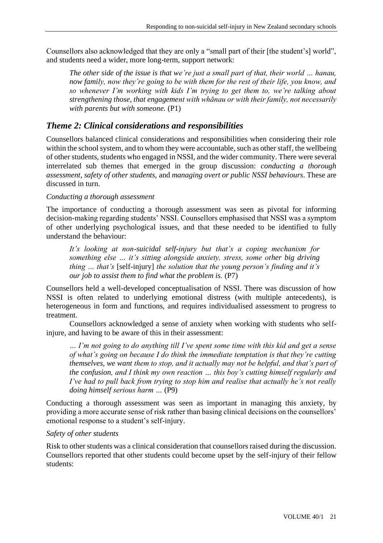Counsellors also acknowledged that they are only a "small part of their [the student's] world", and students need a wider, more long-term, support network:

*The other side of the issue is that we're just a small part of that, their world … hanau, now family, now they're going to be with them for the rest of their life, you know, and so whenever I'm working with kids I'm trying to get them to, we're talking about strengthening those, that engagement with whānau or with their family, not necessarily with parents but with someone.* (P1)

# *Theme 2: Clinical considerations and responsibilities*

Counsellors balanced clinical considerations and responsibilities when considering their role within the school system, and to whom they were accountable, such as other staff, the wellbeing of other students, students who engaged in NSSI, and the wider community. There were several interrelated sub themes that emerged in the group discussion: *conducting a thorough assessment, safety of other students,* and *managing overt or public NSSI behaviours*. These are discussed in turn.

## *Conducting a thorough assessment*

The importance of conducting a thorough assessment was seen as pivotal for informing decision-making regarding students' NSSI. Counsellors emphasised that NSSI was a symptom of other underlying psychological issues, and that these needed to be identified to fully understand the behaviour:

*It's looking at non-suicidal self-injury but that's a coping mechanism for something else … it's sitting alongside anxiety, stress, some other big driving thing … that's* [self-injury] *the solution that the young person's finding and it's our job to assist them to find what the problem is.* (P7)

Counsellors held a well-developed conceptualisation of NSSI. There was discussion of how NSSI is often related to underlying emotional distress (with multiple antecedents), is heterogeneous in form and functions, and requires individualised assessment to progress to treatment.

Counsellors acknowledged a sense of anxiety when working with students who selfinjure, and having to be aware of this in their assessment:

*… I'm not going to do anything till I've spent some time with this kid and get a sense of what's going on because I do think the immediate temptation is that they're cutting themselves, we want them to stop, and it actually may not be helpful, and that's part of the confusion, and I think my own reaction … this boy's cutting himself regularly and I've had to pull back from trying to stop him and realise that actually he's not really doing himself serious harm …* (P9)

Conducting a thorough assessment was seen as important in managing this anxiety, by providing a more accurate sense of risk rather than basing clinical decisions on the counsellors' emotional response to a student's self-injury.

#### *Safety of other students*

Risk to other students was a clinical consideration that counsellors raised during the discussion. Counsellors reported that other students could become upset by the self-injury of their fellow students: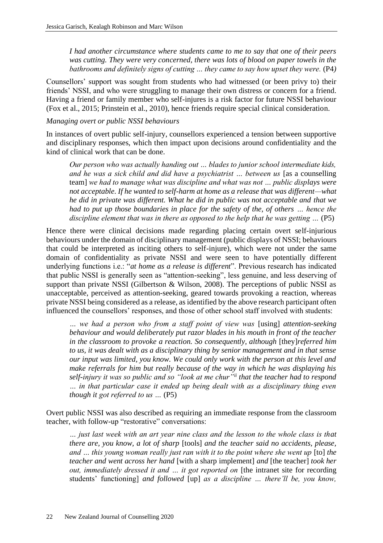*I had another circumstance where students came to me to say that one of their peers was cutting. They were very concerned, there was lots of blood on paper towels in the bathrooms and definitely signs of cutting … they came to say how upset they were.* (P4*)*

Counsellors' support was sought from students who had witnessed (or been privy to) their friends' NSSI, and who were struggling to manage their own distress or concern for a friend. Having a friend or family member who self-injures is a risk factor for future NSSI behaviour (Fox et al., 2015; Prinstein et al., 2010), hence friends require special clinical consideration.

#### *Managing overt or public NSSI behaviours*

In instances of overt public self-injury, counsellors experienced a tension between supportive and disciplinary responses, which then impact upon decisions around confidentiality and the kind of clinical work that can be done.

*Our person who was actually handing out … blades to junior school intermediate kids,*  and he was a sick child and did have a psychiatrist ... between us [as a counselling] team] *we had to manage what was discipline and what was not … public displays were not acceptable. If he wanted to self-harm at home as a release that was different—what he did in private was different. What he did in public was not acceptable and that we had to put up those boundaries in place for the safety of the, of others ... hence the* discipline element that was in there as opposed to the help that he was getting ... (P5)

Hence there were clinical decisions made regarding placing certain overt self-injurious behaviours under the domain of disciplinary management (public displays of NSSI; behaviours that could be interpreted as inciting others to self-injure), which were not under the same domain of confidentiality as private NSSI and were seen to have potentially different underlying functions i.e.: "*at home as a release is different*". Previous research has indicated that public NSSI is generally seen as "attention-seeking", less genuine, and less deserving of support than private NSSI (Gilbertson & Wilson, 2008). The perceptions of public NSSI as unacceptable, perceived as attention-seeking, geared towards provoking a reaction, whereas private NSSI being considered as a release, as identified by the above research participant often influenced the counsellors' responses, and those of other school staff involved with students:

*… we had a person who from a staff point of view was* [using] *attention-seeking behaviour and would deliberately put razor blades in his mouth in front of the teacher in the classroom to provoke a reaction. So consequently, although* [they]*referred him to us, it was dealt with as a disciplinary thing by senior management and in that sense our input was limited, you know. We could only work with the person at this level and make referrals for him but really because of the way in which he was displaying his self-injury it was so public and so "look at me chur"ii that the teacher had to respond … in that particular case it ended up being dealt with as a disciplinary thing even though it got referred to us …* (P5)

Overt public NSSI was also described as requiring an immediate response from the classroom teacher, with follow-up "restorative" conversations:

*… just last week with an art year nine class and the lesson to the whole class is that there are, you know, a lot of sharp* [tools] *and the teacher said no accidents, please, and ... this young woman really just ran with it to the point where she went up* [to] *the teacher and went across her hand* [with a sharp implement] *and* [the teacher] *took her out, immediately dressed it and ... it got reported on* [the intranet site for recording students' functioning] *and followed* [up] *as a discipline … there'll be, you know,*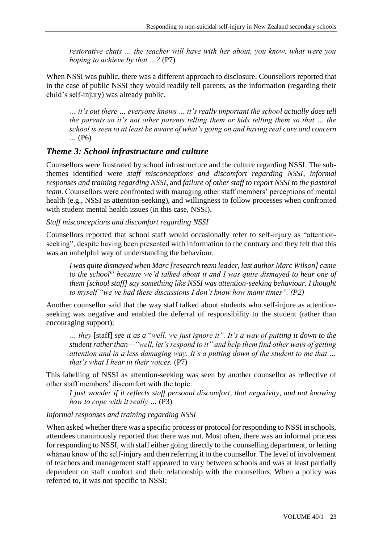*restorative chats … the teacher will have with her about, you know, what were you hoping to achieve by that …?* (P7)

When NSSI was public, there was a different approach to disclosure. Counsellors reported that in the case of public NSSI they would readily tell parents, as the information (regarding their child's self-injury) was already public.

*… it's out there … everyone knows … it's really important the school actually does tell the parents so it's not other parents telling them or kids telling them so that … the school is seen to at least be aware of what's going on and having real care and concern …* (P6)

## *Theme 3: School infrastructure and culture*

Counsellors were frustrated by school infrastructure and the culture regarding NSSI. The subthemes identified were *staff misconceptions and discomfort regarding NSSI*, *informal responses and training regarding NSSI*, and *failure of other staff to report NSSI to the pastoral team*. Counsellors were confronted with managing other staff members' perceptions of mental health (e.g., NSSI as attention-seeking), and willingness to follow processes when confronted with student mental health issues (in this case, NSSI).

#### *Staff misconceptions and discomfort regarding NSSI*

Counsellors reported that school staff would occasionally refer to self-injury as "attentionseeking", despite having been presented with information to the contrary and they felt that this was an unhelpful way of understanding the behaviour.

*I was quite dismayed when Marc [research team leader, last author Marc Wilson] came to the schooliii because we'd talked about it and I was quite dismayed to hear one of them [school staff] say something like NSSI was attention-seeking behaviour. I thought to myself "we've had these discussions I don't know how many times". (P2)*

Another counsellor said that the way staff talked about students who self-injure as attentionseeking was negative and enabled the deferral of responsibility to the student (rather than encouraging support):

*… they* [staff] *see it as a* "*well, we just ignore it". It's a way of putting it down to the student rather than—"well, let's respond to it" and help them find other ways of getting attention and in a less damaging way. It's a putting down of the student to me that … that's what I hear in their voices.* (P7)

This labelling of NSSI as attention-seeking was seen by another counsellor as reflective of other staff members' discomfort with the topic:

*I just wonder if it reflects staff personal discomfort, that negativity, and not knowing how to cope with it really …* (P3)

#### *Informal responses and training regarding NSSI*

When asked whether there was a specific process or protocol for responding to NSSI in schools, attendees unanimously reported that there was not. Most often, there was an informal process for responding to NSSI, with staff either going directly to the counselling department, or letting whānau know of the self-injury and then referring it to the counsellor. The level of involvement of teachers and management staff appeared to vary between schools and was at least partially dependent on staff comfort and their relationship with the counsellors. When a policy was referred to, it was not specific to NSSI: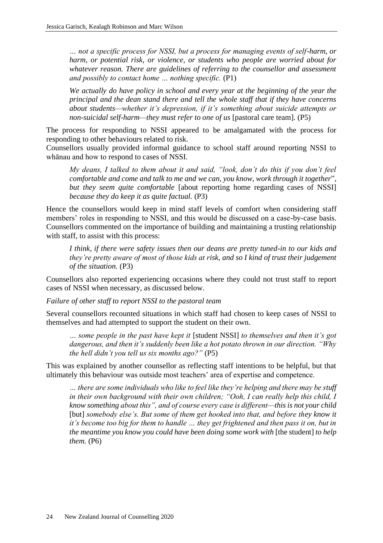*… not a specific process for NSSI, but a process for managing events of self-harm, or harm, or potential risk, or violence, or students who people are worried about for whatever reason. There are guidelines of referring to the counsellor and assessment and possibly to contact home … nothing specific.* (P1)

*We actually do have policy in school and every year at the beginning of the year the principal and the dean stand there and tell the whole staff that if they have concerns about students—whether it's depression, if it's something about suicide attempts or non-suicidal self-harm—they must refer to one of us [pastoral care team]. (P5)* 

The process for responding to NSSI appeared to be amalgamated with the process for responding to other behaviours related to risk.

Counsellors usually provided informal guidance to school staff around reporting NSSI to whānau and how to respond to cases of NSSI.

*My deans, I talked to them about it and said, "look, don't do this if you don't feel comfortable and come and talk to me and we can, you know, work through it together*"*, but they seem quite comfortable* [about reporting home regarding cases of NSSI] *because they do keep it as quite factual.* (P3)

Hence the counsellors would keep in mind staff levels of comfort when considering staff members' roles in responding to NSSI, and this would be discussed on a case-by-case basis. Counsellors commented on the importance of building and maintaining a trusting relationship with staff, to assist with this process:

*I think, if there were safety issues then our deans are pretty tuned-in to our kids and they're pretty aware of most of those kids at risk, and so I kind of trust their judgement of the situation.* (P3)

Counsellors also reported experiencing occasions where they could not trust staff to report cases of NSSI when necessary, as discussed below.

*Failure of other staff to report NSSI to the pastoral team*

Several counsellors recounted situations in which staff had chosen to keep cases of NSSI to themselves and had attempted to support the student on their own.

*… some people in the past have kept it* [student NSSI] *to themselves and then it's got dangerous, and then it's suddenly been like a hot potato thrown in our direction. "Why the hell didn't you tell us six months ago?"* (P5)

This was explained by another counsellor as reflecting staff intentions to be helpful, but that ultimately this behaviour was outside most teachers' area of expertise and competence.

*… there are some individuals who like to feel like they're helping and there may be stuff in their own background with their own children; "Ooh, I can really help this child, I know something about this", and of course every case is different—this is not your child*  [but] *somebody else's. But some of them get hooked into that, and before they know it it's become too big for them to handle … they get frightened and then pass it on, but in the meantime you know you could have been doing some work with* [the student] *to help them.* (P6)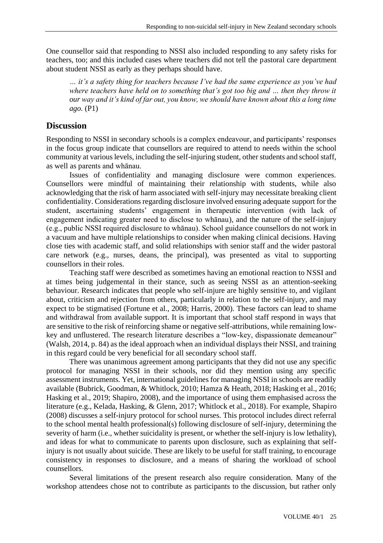One counsellor said that responding to NSSI also included responding to any safety risks for teachers, too; and this included cases where teachers did not tell the pastoral care department about student NSSI as early as they perhaps should have.

*… it's a safety thing for teachers because I've had the same experience as you've had where teachers have held on to something that's got too big and … then they throw it our way and it's kind of far out, you know, we should have known about this a long time ago.* (P1)

## **Discussion**

Responding to NSSI in secondary schools is a complex endeavour, and participants' responses in the focus group indicate that counsellors are required to attend to needs within the school community at various levels, including the self-injuring student, other students and school staff, as well as parents and whānau.

Issues of confidentiality and managing disclosure were common experiences. Counsellors were mindful of maintaining their relationship with students, while also acknowledging that the risk of harm associated with self-injury may necessitate breaking client confidentiality. Considerations regarding disclosure involved ensuring adequate support for the student, ascertaining students' engagement in therapeutic intervention (with lack of engagement indicating greater need to disclose to whānau), and the nature of the self-injury (e.g., public NSSI required disclosure to whānau). School guidance counsellors do not work in a vacuum and have multiple relationships to consider when making clinical decisions. Having close ties with academic staff, and solid relationships with senior staff and the wider pastoral care network (e.g., nurses, deans, the principal), was presented as vital to supporting counsellors in their roles.

Teaching staff were described as sometimes having an emotional reaction to NSSI and at times being judgemental in their stance, such as seeing NSSI as an attention-seeking behaviour. Research indicates that people who self-injure are highly sensitive to, and vigilant about, criticism and rejection from others, particularly in relation to the self-injury, and may expect to be stigmatised (Fortune et al., 2008; Harris, 2000). These factors can lead to shame and withdrawal from available support. It is important that school staff respond in ways that are sensitive to the risk of reinforcing shame or negative self-attributions, while remaining lowkey and unflustered. The research literature describes a "low-key, dispassionate demeanour" (Walsh, 2014, p. 84) as the ideal approach when an individual displays their NSSI, and training in this regard could be very beneficial for all secondary school staff.

There was unanimous agreement among participants that they did not use any specific protocol for managing NSSI in their schools, nor did they mention using any specific assessment instruments. Yet, international guidelines for managing NSSI in schools are readily available (Bubrick, Goodman, & Whitlock, 2010; Hamza & Heath, 2018; Hasking et al., 2016; Hasking et al., 2019; Shapiro, 2008), and the importance of using them emphasised across the literature (e.g., Kelada, Hasking, & Glenn, 2017; Whitlock et al., 2018). For example, Shapiro (2008) discusses a self-injury protocol for school nurses. This protocol includes direct referral to the school mental health professional(s) following disclosure of self-injury, determining the severity of harm (i.e., whether suicidality is present, or whether the self-injury is low lethality), and ideas for what to communicate to parents upon disclosure, such as explaining that selfinjury is not usually about suicide. These are likely to be useful for staff training, to encourage consistency in responses to disclosure, and a means of sharing the workload of school counsellors.

Several limitations of the present research also require consideration. Many of the workshop attendees chose not to contribute as participants to the discussion, but rather only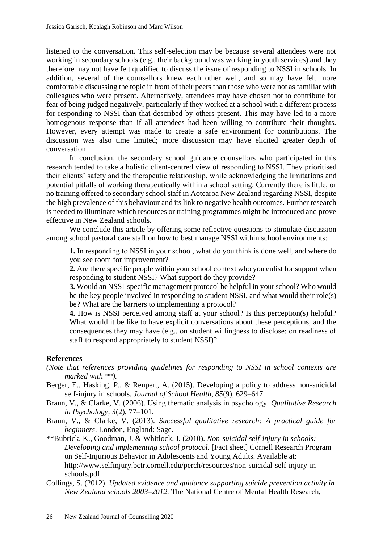listened to the conversation. This self-selection may be because several attendees were not working in secondary schools (e.g., their background was working in youth services) and they therefore may not have felt qualified to discuss the issue of responding to NSSI in schools. In addition, several of the counsellors knew each other well, and so may have felt more comfortable discussing the topic in front of their peers than those who were not as familiar with colleagues who were present. Alternatively, attendees may have chosen not to contribute for fear of being judged negatively, particularly if they worked at a school with a different process for responding to NSSI than that described by others present. This may have led to a more homogenous response than if all attendees had been willing to contribute their thoughts. However, every attempt was made to create a safe environment for contributions. The discussion was also time limited; more discussion may have elicited greater depth of conversation.

In conclusion, the secondary school guidance counsellors who participated in this research tended to take a holistic client-centred view of responding to NSSI. They prioritised their clients' safety and the therapeutic relationship, while acknowledging the limitations and potential pitfalls of working therapeutically within a school setting. Currently there is little, or no training offered to secondary school staff in Aotearoa New Zealand regarding NSSI, despite the high prevalence of this behaviour and its link to negative health outcomes. Further research is needed to illuminate which resources or training programmes might be introduced and prove effective in New Zealand schools.

We conclude this article by offering some reflective questions to stimulate discussion among school pastoral care staff on how to best manage NSSI within school environments:

**1.** In responding to NSSI in your school, what do you think is done well, and where do you see room for improvement?

**2.** Are there specific people within your school context who you enlist for support when responding to student NSSI? What support do they provide?

**3.** Would an NSSI-specific management protocol be helpful in your school? Who would be the key people involved in responding to student NSSI, and what would their role(s) be? What are the barriers to implementing a protocol?

**4.** How is NSSI perceived among staff at your school? Is this perception(s) helpful? What would it be like to have explicit conversations about these perceptions, and the consequences they may have (e.g., on student willingness to disclose; on readiness of staff to respond appropriately to student NSSI)?

#### **References**

- *(Note that references providing guidelines for responding to NSSI in school contexts are marked with \*\*).*
- Berger, E., Hasking, P., & Reupert, A. (2015). Developing a policy to address non-suicidal self-injury in schools. *Journal of School Health, 85*(9), 629–647.
- Braun, V., & Clarke, V. (2006). Using thematic analysis in psychology. *Qualitative Research in Psychology, 3*(2), 77–101.
- Braun, V., & Clarke, V. (2013). *Successful qualitative research: A practical guide for beginners*. London, England: Sage.
- \*\*Bubrick, K., Goodman, J. & Whitlock, J. (2010). *Non-suicidal self-injury in schools: Developing and implementing school protocol.* [Fact sheet] Cornell Research Program on Self-Injurious Behavior in Adolescents and Young Adults. Available at: http://www.selfinjury.bctr.cornell.edu/perch/resources/non-suicidal-self-injury-inschools.pdf
- Collings, S. (2012). *Updated evidence and guidance supporting suicide prevention activity in New Zealand schools 2003–2012.* The National Centre of Mental Health Research,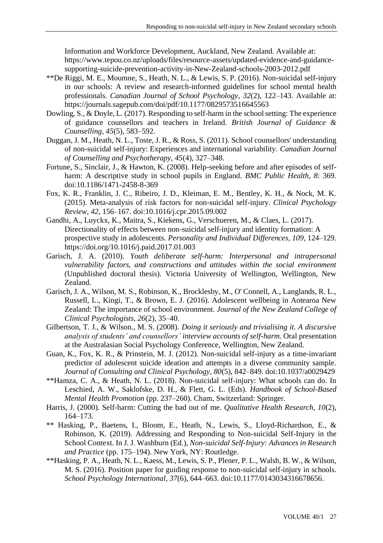Information and Workforce Development, Auckland, New Zealand. Available at: https://www.tepou.co.nz/uploads/files/resource-assets/updated-evidence-and-guidancesupporting-suicide-prevention-activity-in-New-Zealand-schools-2003-2012.pdf

- \*\*De Riggi, M. E., Moumne, S., Heath, N. L., & Lewis, S. P. (2016). Non-suicidal self-injury in our schools: A review and research-informed guidelines for school mental health professionals. *Canadian Journal of School Psychology*, *32*(2), 122–143. Available at: https://journals.sagepub.com/doi/pdf/10.1177/0829573516645563
- Dowling, S., & Doyle, L. (2017). Responding to self-harm in the school setting: The experience of guidance counsellors and teachers in Ireland. *British Journal of Guidance & Counselling, 45*(5), 583–592.
- Duggan, J. M., Heath, N. L., Toste, J. R., & Ross, S. (2011). School counsellors' understanding of non-suicidal self-injury: Experiences and international variability. *Canadian Journal of Counselling and Psychotherapy, 45*(4), 327–348.
- Fortune, S., Sinclair, J., & Hawton, K. (2008). Help-seeking before and after episodes of selfharm: A descriptive study in school pupils in England. *BMC Public Health, 8*: 369. doi:10.1186/1471-2458-8-369
- Fox, K. R., Franklin, J. C., Ribeiro, J. D., Kleiman, E. M., Bentley, K. H., & Nock, M. K. (2015). Meta-analysis of risk factors for non-suicidal self-injury*. Clinical Psychology Review*, *42*, 156–167. doi:10.1016/j.cpr.2015.09.002
- Gandhi, A., Luyckx, K., Maitra, S., Kiekens, G., Verschueren, M., & Claes, L. (2017). Directionality of effects between non-suicidal self-injury and identity formation: A prospective study in adolescents. *Personality and Individual Differences*, *109*, 124–129. https://doi.org/10.1016/j.paid.2017.01.003
- Garisch, J. A. (2010). *Youth deliberate self-harm: Interpersonal and intrapersonal vulnerability factors, and constructions and attitudes within the social environment* (Unpublished doctoral thesis). Victoria University of Wellington, Wellington, New Zealand.
- Garisch, J. A., Wilson, M. S., Robinson, K., Brocklesby, M., O' Connell, A., Langlands, R. L., Russell, L., Kingi, T., & Brown, E. J. (2016). Adolescent wellbeing in Aotearoa New Zealand: The importance of school environment. *Journal of the New Zealand College of Clinical Psychologists, 26*(2), 35–40.
- Gilbertson, T. J., & Wilson., M. S. (2008). *Doing it seriously and trivialising it. A discursive analysis of students' and counsellors' interview accounts of self-harm*. Oral presentation at the Australasian Social Psychology Conference, Wellington, New Zealand.
- Guan, K., Fox, K. R., & Prinstein, M. J. (2012). Non-suicidal self-injury as a time-invariant predictor of adolescent suicide ideation and attempts in a diverse community sample. *Journal of Consulting and Clinical Psychology, 80*(5), 842–849. doi:10.1037/a0029429
- \*\*Hamza, C. A., & Heath, N. L. (2018). Non-suicidal self-injury: What schools can do. In Leschied, A. W., Saklofske, D. H., & Flett, G. L. (Eds). *Handbook of School-Based Mental Health Promotion* (pp. 237–260). Cham, Switzerland: Springer.
- Harris, J. (2000). Self-harm: Cutting the bad out of me. *Qualitative Health Research, 10*(2), 164–173.
- \*\* Hasking, P., Baetens, I., Bloom, E., Heath, N., Lewis, S., Lloyd-Richardson, E., & Robinson, K. (2019). Addressing and Responding to Non-suicidal Self-Injury in the School Context. In J. J. Washburn (Ed.), *Non-suicidal Self-Injury: Advances in Research and Practice* (pp. 175–194). New York, NY: Routledge.
- \*\*Hasking, P. A., Heath, N. L., Kaess, M., Lewis, S. P., Plener, P. L., Walsh, B. W., & Wilson, M. S. (2016). Position paper for guiding response to non-suicidal self-injury in schools. *School Psychology International, 37*(6), 644–663. doi:10.1177/0143034316678656.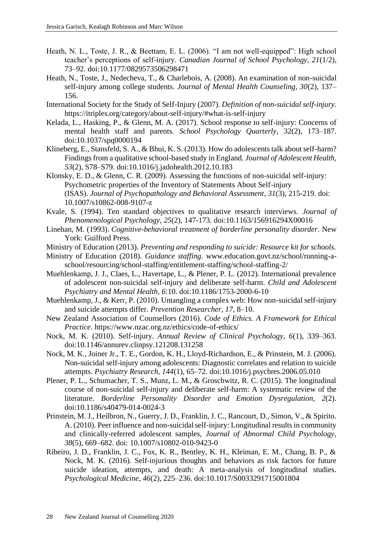- Heath, N. L., Toste, J. R., & Beettam, E. L. (2006). "I am not well-equipped": High school teacher's perceptions of self-injury. *Canadian Journal of School Psychology, 21*(1/2), 73–92. doi:10.1177/0829573506298471
- Heath, N., Toste, J., Nedecheva, T., & Charlebois, A. (2008). An examination of non-suicidal self-injury among college students. *Journal of Mental Health Counseling, 30*(2), 137– 156.
- International Society for the Study of Self-Injury (2007). *Definition of non-suicidal self-injury.* https://itriples.org/category/about-self-injury/#what-is-self-injury
- Kelada, L., Hasking, P., & Glenn, M. A. (2017). School response to self-injury: Concerns of mental health staff and parents. *School Psychology Quarterly*, 32(2), 173–187. doi:10.1037/spq0000194
- Klineberg, E., Stansfeld, S. A., & Bhui, K. S. (2013). How do adolescents talk about self-harm? Findings from a qualitative school-based study in England. *J*o*urnal of Adolescent Health, 53*(2), S78–S79. doi:10.1016/j.jadohealth.2012.10.183
- Klonsky, E. D., & Glenn, C. R. (2009). Assessing the functions of non-suicidal self-injury: Psychometric properties of the Inventory of Statements About Self-injury (ISAS). *Journal of Psychopathology and Behavioral Assessment*, *31*(3), 215-219. doi: 10.1007/s10862-008-9107-z
- Kvale, S. (1994). Ten standard objectives to qualitative research interviews. *Journal of Phenomenological Psychology*, *25*(2), 147-173. doi:10.1163/156916294X00016
- Linehan, M. (1993). *Cognitive-behavioral treatment of borderline personality disorder*. New York: Guilford Press.
- Ministry of Education (2013). *Preventing and responding to suicide: Resource kit for schools.*
- Ministry of Education (2018). *Guidance staffing.* www.education.govt.nz/school/running-aschool/resourcing/school-staffing/entitlement-staffing/school-staffing-2/
- Muehlenkamp, J. J., Claes, L., Havertape, L., & Plener, P. L. (2012). International prevalence of adolescent non-suicidal self-injury and deliberate self-harm. *Child and Adolescent Psychiatry and Mental Health, 6*:10. doi:10.1186/1753-2000-6-10
- Muehlenkamp, J., & Kerr, P. (2010). Untangling a complex web: How non-suicidal self-injury and suicide attempts differ. *Prevention Researcher, 17*, 8–10.
- New Zealand Association of Counsellors (2016). *Code of Ethics. A Framework for Ethical Practice*. https://www.nzac.org.nz/ethics/code-of-ethics/
- Nock, M. K. (2010). Self-injury. *Annual Review of Clinical Psychology, 6*(1)*,* 339–363. doi:10.1146/annurev.clinpsy.121208.131258
- Nock, M. K., Joiner Jr., T. E., Gordon, K. H., Lloyd-Richardson, E., & Prinstein, M. J. (2006). Non-suicidal self-injury among adolescents: Diagnostic correlates and relation to suicide attempts. *Psychiatry Research, 144*(1), 65–72. doi:10.1016/j.psychres.2006.05.010
- Plener, P. L., Schumacher, T. S., Munz, L. M., & Groschwitz, R. C. (2015). The longitudinal course of non-suicidal self-injury and deliberate self-harm: A systematic review of the literature. *Borderline Personality Disorder and Emotion Dysregulation, 2*(2). doi:10.1186/s40479-014-0024-3
- Prinstein, M. J., Heilbron, N., Guerry, J. D., Franklin, J. C., Rancourt, D., Simon, V., & Spirito. A. (2010). Peer influence and non-suicidal self-injury: Longitudinal results in community and clinically-referred adolescent samples, *Journal of Abnormal Child Psychology, 38*(5), 669–682. doi: 10.1007/s10802-010-9423-0
- Ribeiro, J. D., Franklin, J. C., Fox, K. R., Bentley, K. H., Kleiman, E. M., Chang, B. P., & Nock, M. K. (2016). Self-injurious thoughts and behaviors as risk factors for future suicide ideation, attempts, and death: A meta-analysis of longitudinal studies. *Psychological Medicine, 46*(2), 225–236. doi:10.1017/S0033291715001804